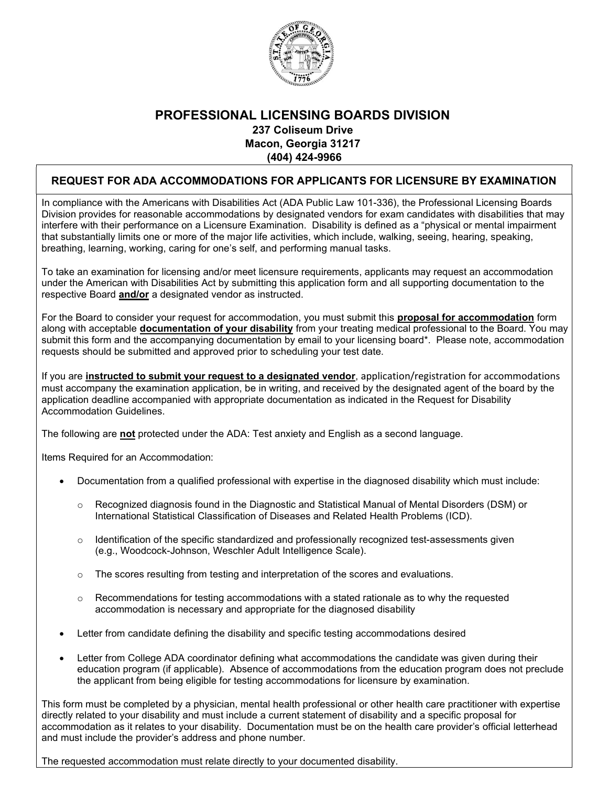

## PROFESSIONAL LICENSING BOARDS DIVISION 237 Coliseum Drive Macon, Georgia 31217 (404) 424-9966

## REQUEST FOR ADA ACCOMMODATIONS FOR APPLICANTS FOR LICENSURE BY EXAMINATION

In compliance with the Americans with Disabilities Act (ADA Public Law 101-336), the Professional Licensing Boards Division provides for reasonable accommodations by designated vendors for exam candidates with disabilities that may interfere with their performance on a Licensure Examination. Disability is defined as a "physical or mental impairment that substantially limits one or more of the major life activities, which include, walking, seeing, hearing, speaking, breathing, learning, working, caring for one's self, and performing manual tasks.

To take an examination for licensing and/or meet licensure requirements, applicants may request an accommodation under the American with Disabilities Act by submitting this application form and all supporting documentation to the respective Board **and/or** a designated vendor as instructed.

For the Board to consider your request for accommodation, you must submit this **proposal for accommodation** form along with acceptable **documentation of your disability** from your treating medical professional to the Board. You may submit this form and the accompanying documentation by email to your licensing board\*. Please note, accommodation requests should be submitted and approved prior to scheduling your test date.

If you are **instructed to submit your request to a designated vendor**, application/registration for accommodations must accompany the examination application, be in writing, and received by the designated agent of the board by the application deadline accompanied with appropriate documentation as indicated in the Request for Disability Accommodation Guidelines.

The following are **not** protected under the ADA: Test anxiety and English as a second language.

Items Required for an Accommodation:

- Documentation from a qualified professional with expertise in the diagnosed disability which must include:
	- o Recognized diagnosis found in the Diagnostic and Statistical Manual of Mental Disorders (DSM) or International Statistical Classification of Diseases and Related Health Problems (ICD).
	- $\circ$  Identification of the specific standardized and professionally recognized test-assessments given (e.g., Woodcock-Johnson, Weschler Adult Intelligence Scale).
	- $\circ$  The scores resulting from testing and interpretation of the scores and evaluations.
	- $\circ$  Recommendations for testing accommodations with a stated rationale as to why the requested accommodation is necessary and appropriate for the diagnosed disability
- Letter from candidate defining the disability and specific testing accommodations desired
- Letter from College ADA coordinator defining what accommodations the candidate was given during their education program (if applicable). Absence of accommodations from the education program does not preclude the applicant from being eligible for testing accommodations for licensure by examination.

This form must be completed by a physician, mental health professional or other health care practitioner with expertise directly related to your disability and must include a current statement of disability and a specific proposal for accommodation as it relates to your disability. Documentation must be on the health care provider's official letterhead and must include the provider's address and phone number.

The requested accommodation must relate directly to your documented disability.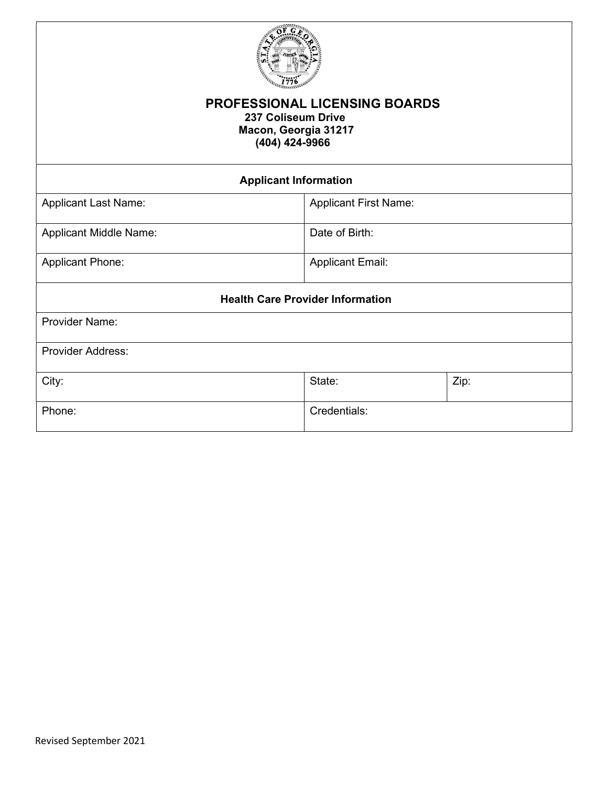

## PROFESSIONAL LICENSING BOARDS 237 Coliseum Drive Macon, Georgia 31217 (404) 424-9966

| <b>Applicant Information</b>            |                              |      |  |
|-----------------------------------------|------------------------------|------|--|
| <b>Applicant Last Name:</b>             | <b>Applicant First Name:</b> |      |  |
| <b>Applicant Middle Name:</b>           | Date of Birth:               |      |  |
| <b>Applicant Phone:</b>                 | <b>Applicant Email:</b>      |      |  |
| <b>Health Care Provider Information</b> |                              |      |  |
| <b>Provider Name:</b>                   |                              |      |  |
| <b>Provider Address:</b>                |                              |      |  |
| City:                                   | State:                       | Zip: |  |
| Phone:                                  | Credentials:                 |      |  |